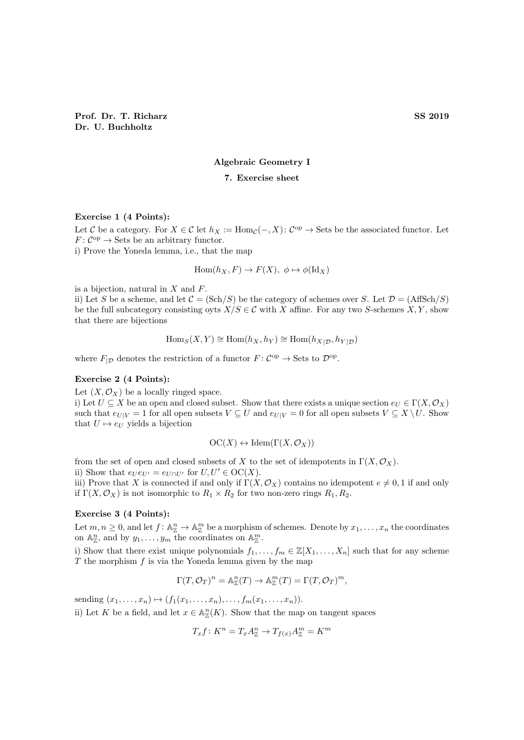### Algebraic Geometry I

## 7. Exercise sheet

#### Exercise 1 (4 Points):

Let C be a category. For  $X \in \mathcal{C}$  let  $h_X := \text{Hom}_{\mathcal{C}}(-, X) : C^{\text{op}} \to \text{Sets}$  be the associated functor. Let  $F: \mathcal{C}^{\mathrm{op}} \to \operatorname{Sets}$  be an arbitrary functor.

i) Prove the Yoneda lemma, i.e., that the map

$$
Hom(h_X, F) \to F(X), \ \phi \mapsto \phi(Id_X)
$$

is a bijection, natural in  $X$  and  $F$ .

ii) Let S be a scheme, and let  $C = (\text{Sch}/S)$  be the category of schemes over S. Let  $\mathcal{D} = (\text{AffSch}/S)$ be the full subcategory consisting oyts  $X/S \in \mathcal{C}$  with X affine. For any two S-schemes X, Y, show that there are bijections

$$
\operatorname{Hom}_S(X, Y) \cong \operatorname{Hom}(h_X, h_Y) \cong \operatorname{Hom}(h_{X|D}, h_{Y|D})
$$

where  $F_{|D}$  denotes the restriction of a functor  $F: C^{op} \to \text{Sets}$  to  $\mathcal{D}^{op}$ .

### Exercise 2 (4 Points):

Let  $(X, \mathcal{O}_X)$  be a locally ringed space.

i) Let  $U \subseteq X$  be an open and closed subset. Show that there exists a unique section  $e_U \in \Gamma(X, \mathcal{O}_X)$ such that  $e_{U|V} = 1$  for all open subsets  $V \subseteq U$  and  $e_{U|V} = 0$  for all open subsets  $V \subseteq X \setminus U$ . Show that  $U \mapsto e_U$  yields a bijection

$$
OC(X) \leftrightarrow \mathrm{Idem}(\Gamma(X, \mathcal{O}_X))
$$

from the set of open and closed subsets of X to the set of idempotents in  $\Gamma(X, \mathcal{O}_X)$ .

ii) Show that  $e_U e_{U'} = e_{U \cap U'}$  for  $U, U' \in \mathrm{OC}(X)$ .

iii) Prove that X is connected if and only if  $\Gamma(X, \mathcal{O}_X)$  contains no idempotent  $e \neq 0, 1$  if and only if  $\Gamma(X, \mathcal{O}_X)$  is not isomorphic to  $R_1 \times R_2$  for two non-zero rings  $R_1, R_2$ .

### Exercise 3 (4 Points):

Let  $m, n \geq 0$ , and let  $f: \mathbb{A}_{\mathbb{Z}}^n \to \mathbb{A}_{\mathbb{Z}}^m$  be a morphism of schemes. Denote by  $x_1, \ldots, x_n$  the coordinates on  $\mathbb{A}^n_{\mathbb{Z}}$ , and by  $y_1, \ldots, y_m$  the coordinates on  $\mathbb{A}^m_{\mathbb{Z}}$ .

i) Show that there exist unique polynomials  $f_1, \ldots, f_m \in \mathbb{Z}[X_1, \ldots, X_n]$  such that for any scheme  $T$  the morphism  $f$  is via the Yoneda lemma given by the map

$$
\Gamma(T, \mathcal{O}_T)^n = \mathbb{A}_{\mathbb{Z}}^n(T) \to \mathbb{A}_{\mathbb{Z}}^m(T) = \Gamma(T, \mathcal{O}_T)^m,
$$

sending  $(x_1, ..., x_n) \mapsto (f_1(x_1, ..., x_n), ..., f_m(x_1, ..., x_n)).$ 

ii) Let K be a field, and let  $x \in \mathbb{A}_{\mathbb{Z}}^n(K)$ . Show that the map on tangent spaces

$$
T_x f: K^n = T_x A^n_{\mathbb{Z}} \to T_{f(x)} A^m_{\mathbb{Z}} = K^m
$$